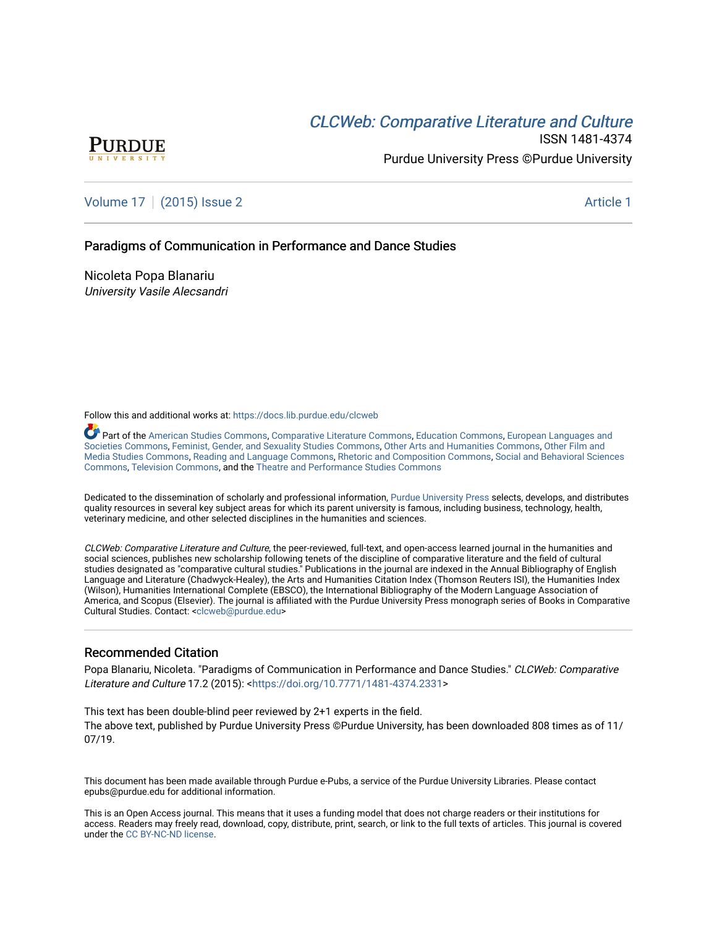# **CLCW[eb: Comparative Liter](https://docs.lib.purdue.edu/clcweb)ature and Culture**



ISSN 1481-4374 Purdue University Press ©Purdue University

### [Volume 17](https://docs.lib.purdue.edu/clcweb/vol17) | [\(2015\) Issue 2](https://docs.lib.purdue.edu/clcweb/vol17/iss2) Article 1

### Paradigms of Communication in Performance and Dance Studies

Nicoleta Popa Blanariu University Vasile Alecsandri

Follow this and additional works at: [https://docs.lib.purdue.edu/clcweb](https://docs.lib.purdue.edu/clcweb?utm_source=docs.lib.purdue.edu%2Fclcweb%2Fvol17%2Fiss2%2F1&utm_medium=PDF&utm_campaign=PDFCoverPages)

Part of the [American Studies Commons](http://network.bepress.com/hgg/discipline/439?utm_source=docs.lib.purdue.edu%2Fclcweb%2Fvol17%2Fiss2%2F1&utm_medium=PDF&utm_campaign=PDFCoverPages), [Comparative Literature Commons,](http://network.bepress.com/hgg/discipline/454?utm_source=docs.lib.purdue.edu%2Fclcweb%2Fvol17%2Fiss2%2F1&utm_medium=PDF&utm_campaign=PDFCoverPages) [Education Commons,](http://network.bepress.com/hgg/discipline/784?utm_source=docs.lib.purdue.edu%2Fclcweb%2Fvol17%2Fiss2%2F1&utm_medium=PDF&utm_campaign=PDFCoverPages) [European Languages and](http://network.bepress.com/hgg/discipline/482?utm_source=docs.lib.purdue.edu%2Fclcweb%2Fvol17%2Fiss2%2F1&utm_medium=PDF&utm_campaign=PDFCoverPages) [Societies Commons](http://network.bepress.com/hgg/discipline/482?utm_source=docs.lib.purdue.edu%2Fclcweb%2Fvol17%2Fiss2%2F1&utm_medium=PDF&utm_campaign=PDFCoverPages), [Feminist, Gender, and Sexuality Studies Commons,](http://network.bepress.com/hgg/discipline/559?utm_source=docs.lib.purdue.edu%2Fclcweb%2Fvol17%2Fiss2%2F1&utm_medium=PDF&utm_campaign=PDFCoverPages) [Other Arts and Humanities Commons](http://network.bepress.com/hgg/discipline/577?utm_source=docs.lib.purdue.edu%2Fclcweb%2Fvol17%2Fiss2%2F1&utm_medium=PDF&utm_campaign=PDFCoverPages), [Other Film and](http://network.bepress.com/hgg/discipline/565?utm_source=docs.lib.purdue.edu%2Fclcweb%2Fvol17%2Fiss2%2F1&utm_medium=PDF&utm_campaign=PDFCoverPages)  [Media Studies Commons](http://network.bepress.com/hgg/discipline/565?utm_source=docs.lib.purdue.edu%2Fclcweb%2Fvol17%2Fiss2%2F1&utm_medium=PDF&utm_campaign=PDFCoverPages), [Reading and Language Commons](http://network.bepress.com/hgg/discipline/1037?utm_source=docs.lib.purdue.edu%2Fclcweb%2Fvol17%2Fiss2%2F1&utm_medium=PDF&utm_campaign=PDFCoverPages), [Rhetoric and Composition Commons,](http://network.bepress.com/hgg/discipline/573?utm_source=docs.lib.purdue.edu%2Fclcweb%2Fvol17%2Fiss2%2F1&utm_medium=PDF&utm_campaign=PDFCoverPages) [Social and Behavioral Sciences](http://network.bepress.com/hgg/discipline/316?utm_source=docs.lib.purdue.edu%2Fclcweb%2Fvol17%2Fiss2%2F1&utm_medium=PDF&utm_campaign=PDFCoverPages) [Commons,](http://network.bepress.com/hgg/discipline/316?utm_source=docs.lib.purdue.edu%2Fclcweb%2Fvol17%2Fiss2%2F1&utm_medium=PDF&utm_campaign=PDFCoverPages) [Television Commons,](http://network.bepress.com/hgg/discipline/1143?utm_source=docs.lib.purdue.edu%2Fclcweb%2Fvol17%2Fiss2%2F1&utm_medium=PDF&utm_campaign=PDFCoverPages) and the [Theatre and Performance Studies Commons](http://network.bepress.com/hgg/discipline/552?utm_source=docs.lib.purdue.edu%2Fclcweb%2Fvol17%2Fiss2%2F1&utm_medium=PDF&utm_campaign=PDFCoverPages)

Dedicated to the dissemination of scholarly and professional information, [Purdue University Press](http://www.thepress.purdue.edu/) selects, develops, and distributes quality resources in several key subject areas for which its parent university is famous, including business, technology, health, veterinary medicine, and other selected disciplines in the humanities and sciences.

CLCWeb: Comparative Literature and Culture, the peer-reviewed, full-text, and open-access learned journal in the humanities and social sciences, publishes new scholarship following tenets of the discipline of comparative literature and the field of cultural studies designated as "comparative cultural studies." Publications in the journal are indexed in the Annual Bibliography of English Language and Literature (Chadwyck-Healey), the Arts and Humanities Citation Index (Thomson Reuters ISI), the Humanities Index (Wilson), Humanities International Complete (EBSCO), the International Bibliography of the Modern Language Association of America, and Scopus (Elsevier). The journal is affiliated with the Purdue University Press monograph series of Books in Comparative Cultural Studies. Contact: [<clcweb@purdue.edu](mailto:clcweb@purdue.edu)>

### Recommended Citation

Popa Blanariu, Nicoleta. "Paradigms of Communication in Performance and Dance Studies." CLCWeb: Comparative Literature and Culture 17.2 (2015): <<https://doi.org/10.7771/1481-4374.2331>>

This text has been double-blind peer reviewed by 2+1 experts in the field. The above text, published by Purdue University Press ©Purdue University, has been downloaded 808 times as of 11/ 07/19.

This document has been made available through Purdue e-Pubs, a service of the Purdue University Libraries. Please contact epubs@purdue.edu for additional information.

This is an Open Access journal. This means that it uses a funding model that does not charge readers or their institutions for access. Readers may freely read, download, copy, distribute, print, search, or link to the full texts of articles. This journal is covered under the [CC BY-NC-ND license.](https://creativecommons.org/licenses/by-nc-nd/4.0/)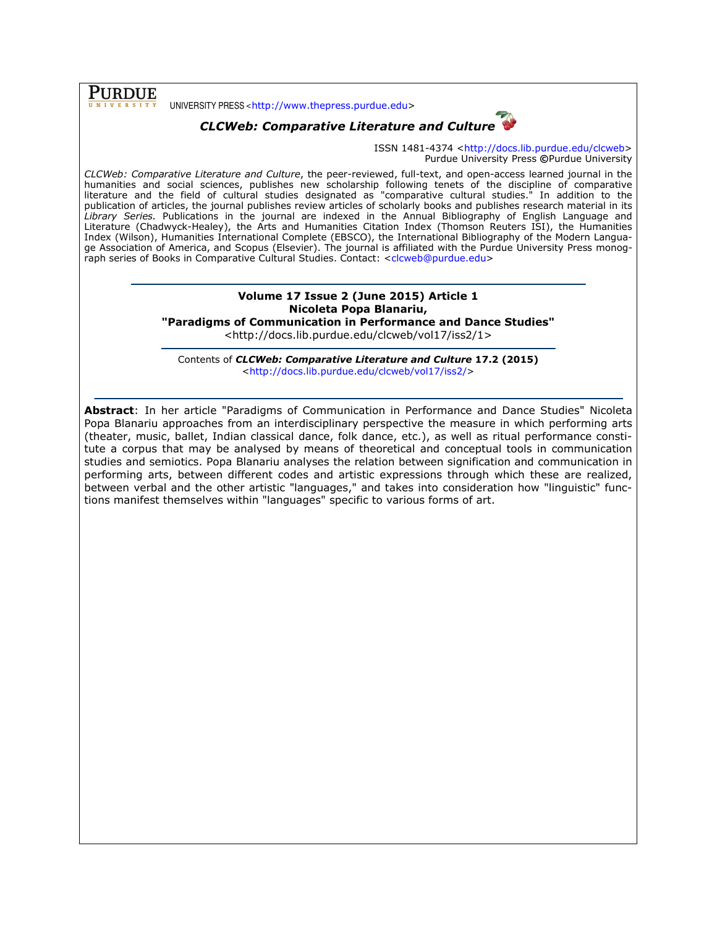**PURDUE** UNIVERSITY PRESS <http://www.thepress.purdue.edu>

## CLCWeb: Comparative Literature and Culture



ISSN 1481-4374 <http://docs.lib.purdue.edu/clcweb> Purdue University Press ©Purdue University

CLCWeb: Comparative Literature and Culture, the peer-reviewed, full-text, and open-access learned journal in the humanities and social sciences, publishes new scholarship following tenets of the discipline of comparative literature and the field of cultural studies designated as "comparative cultural studies." In addition to the publication of articles, the journal publishes review articles of scholarly books and publishes research material in its Library Series. Publications in the journal are indexed in the Annual Bibliography of English Language and Literature (Chadwyck-Healey), the Arts and Humanities Citation Index (Thomson Reuters ISI), the Humanities Index (Wilson), Humanities International Complete (EBSCO), the International Bibliography of the Modern Language Association of America, and Scopus (Elsevier). The journal is affiliated with the Purdue University Press monograph series of Books in Comparative Cultural Studies. Contact: <clcweb@purdue.edu>

### Volume 17 Issue 2 (June 2015) Article 1 Nicoleta Popa Blanariu, "Paradigms of Communication in Performance and Dance Studies"

<http://docs.lib.purdue.edu/clcweb/vol17/iss2/1>

Contents of CLCWeb: Comparative Literature and Culture 17.2 (2015) <http://docs.lib.purdue.edu/clcweb/vol17/iss2/>

Abstract: In her article "Paradigms of Communication in Performance and Dance Studies" Nicoleta Popa Blanariu approaches from an interdisciplinary perspective the measure in which performing arts (theater, music, ballet, Indian classical dance, folk dance, etc.), as well as ritual performance constitute a corpus that may be analysed by means of theoretical and conceptual tools in communication studies and semiotics. Popa Blanariu analyses the relation between signification and communication in performing arts, between different codes and artistic expressions through which these are realized, between verbal and the other artistic "languages," and takes into consideration how "linguistic" functions manifest themselves within "languages" specific to various forms of art.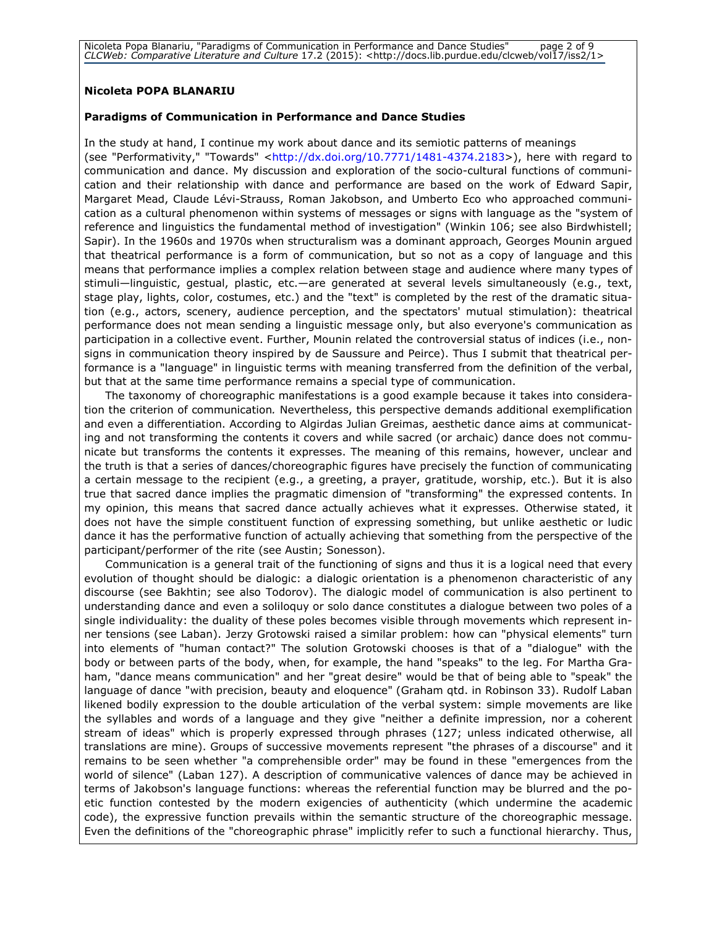Nicoleta Popa Blanariu, "Paradigms of Communication in Performance and Dance Studies" page 2 of 9 CLCWeb: Comparative Literature and Culture 17.2 (2015): <http://docs.lib.purdue.edu/clcweb/vol17/iss2/1>

### Nicoleta POPA BLANARIU

### Paradigms of Communication in Performance and Dance Studies

In the study at hand, I continue my work about dance and its semiotic patterns of meanings (see "Performativity," "Towards" <http://dx.doi.org/10.7771/1481-4374.2183>), here with regard to communication and dance. My discussion and exploration of the socio-cultural functions of communication and their relationship with dance and performance are based on the work of Edward Sapir, Margaret Mead, Claude Lévi-Strauss, Roman Jakobson, and Umberto Eco who approached communication as a cultural phenomenon within systems of messages or signs with language as the "system of reference and linguistics the fundamental method of investigation" (Winkin 106; see also Birdwhistell; Sapir). In the 1960s and 1970s when structuralism was a dominant approach, Georges Mounin argued that theatrical performance is a form of communication, but so not as a copy of language and this means that performance implies a complex relation between stage and audience where many types of stimuli—linguistic, gestual, plastic, etc.—are generated at several levels simultaneously (e.g., text, stage play, lights, color, costumes, etc.) and the "text" is completed by the rest of the dramatic situation (e.g., actors, scenery, audience perception, and the spectators' mutual stimulation): theatrical performance does not mean sending a linguistic message only, but also everyone's communication as participation in a collective event. Further, Mounin related the controversial status of indices (i.e., nonsigns in communication theory inspired by de Saussure and Peirce). Thus I submit that theatrical performance is a "language" in linguistic terms with meaning transferred from the definition of the verbal, but that at the same time performance remains a special type of communication.

The taxonomy of choreographic manifestations is a good example because it takes into consideration the criterion of communication. Nevertheless, this perspective demands additional exemplification and even a differentiation. According to Algirdas Julian Greimas, aesthetic dance aims at communicating and not transforming the contents it covers and while sacred (or archaic) dance does not communicate but transforms the contents it expresses. The meaning of this remains, however, unclear and the truth is that a series of dances/choreographic figures have precisely the function of communicating a certain message to the recipient (e.g., a greeting, a prayer, gratitude, worship, etc.). But it is also true that sacred dance implies the pragmatic dimension of "transforming" the expressed contents. In my opinion, this means that sacred dance actually achieves what it expresses. Otherwise stated, it does not have the simple constituent function of expressing something, but unlike aesthetic or ludic dance it has the performative function of actually achieving that something from the perspective of the participant/performer of the rite (see Austin; Sonesson).

Communication is a general trait of the functioning of signs and thus it is a logical need that every evolution of thought should be dialogic: a dialogic orientation is a phenomenon characteristic of any discourse (see Bakhtin; see also Todorov). The dialogic model of communication is also pertinent to understanding dance and even a soliloquy or solo dance constitutes a dialogue between two poles of a single individuality: the duality of these poles becomes visible through movements which represent inner tensions (see Laban). Jerzy Grotowski raised a similar problem: how can "physical elements" turn into elements of "human contact?" The solution Grotowski chooses is that of a "dialogue" with the body or between parts of the body, when, for example, the hand "speaks" to the leg. For Martha Graham, "dance means communication" and her "great desire" would be that of being able to "speak" the language of dance "with precision, beauty and eloquence" (Graham qtd. in Robinson 33). Rudolf Laban likened bodily expression to the double articulation of the verbal system: simple movements are like the syllables and words of a language and they give "neither a definite impression, nor a coherent stream of ideas" which is properly expressed through phrases (127; unless indicated otherwise, all translations are mine). Groups of successive movements represent "the phrases of a discourse" and it remains to be seen whether "a comprehensible order" may be found in these "emergences from the world of silence" (Laban 127). A description of communicative valences of dance may be achieved in terms of Jakobson's language functions: whereas the referential function may be blurred and the poetic function contested by the modern exigencies of authenticity (which undermine the academic code), the expressive function prevails within the semantic structure of the choreographic message. Even the definitions of the "choreographic phrase" implicitly refer to such a functional hierarchy. Thus,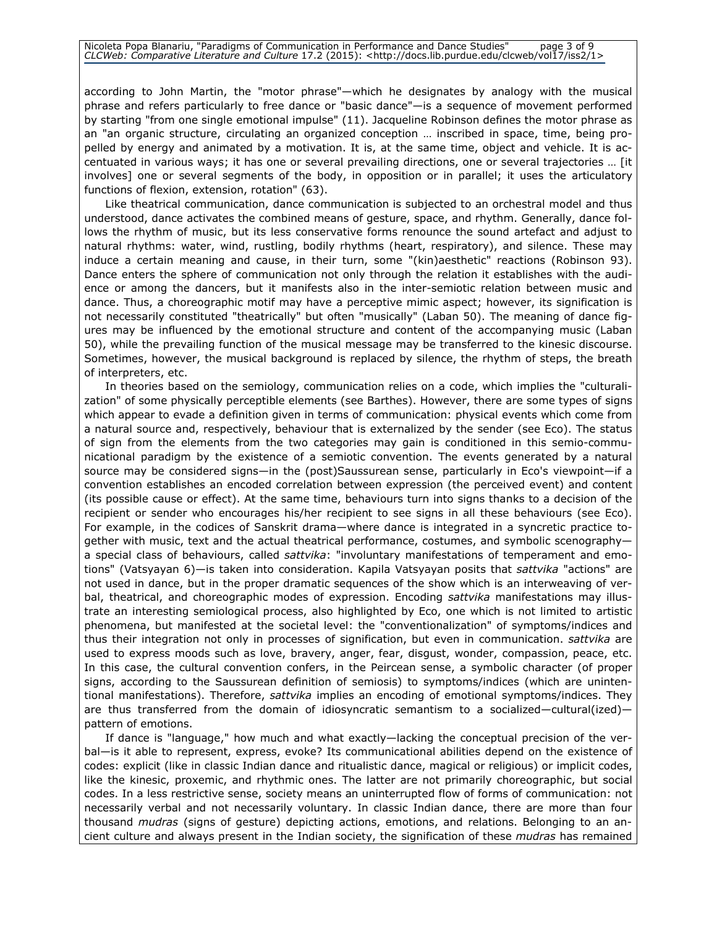according to John Martin, the "motor phrase"—which he designates by analogy with the musical phrase and refers particularly to free dance or "basic dance"—is a sequence of movement performed by starting "from one single emotional impulse" (11). Jacqueline Robinson defines the motor phrase as an "an organic structure, circulating an organized conception … inscribed in space, time, being propelled by energy and animated by a motivation. It is, at the same time, object and vehicle. It is accentuated in various ways; it has one or several prevailing directions, one or several trajectories … [it involves] one or several segments of the body, in opposition or in parallel; it uses the articulatory functions of flexion, extension, rotation" (63).

Like theatrical communication, dance communication is subjected to an orchestral model and thus understood, dance activates the combined means of gesture, space, and rhythm. Generally, dance follows the rhythm of music, but its less conservative forms renounce the sound artefact and adjust to natural rhythms: water, wind, rustling, bodily rhythms (heart, respiratory), and silence. These may induce a certain meaning and cause, in their turn, some "(kin)aesthetic" reactions (Robinson 93). Dance enters the sphere of communication not only through the relation it establishes with the audience or among the dancers, but it manifests also in the inter-semiotic relation between music and dance. Thus, a choreographic motif may have a perceptive mimic aspect; however, its signification is not necessarily constituted "theatrically" but often "musically" (Laban 50). The meaning of dance figures may be influenced by the emotional structure and content of the accompanying music (Laban 50), while the prevailing function of the musical message may be transferred to the kinesic discourse. Sometimes, however, the musical background is replaced by silence, the rhythm of steps, the breath of interpreters, etc.

In theories based on the semiology, communication relies on a code, which implies the "culturalization" of some physically perceptible elements (see Barthes). However, there are some types of signs which appear to evade a definition given in terms of communication: physical events which come from a natural source and, respectively, behaviour that is externalized by the sender (see Eco). The status of sign from the elements from the two categories may gain is conditioned in this semio-communicational paradigm by the existence of a semiotic convention. The events generated by a natural source may be considered signs—in the (post)Saussurean sense, particularly in Eco's viewpoint—if a convention establishes an encoded correlation between expression (the perceived event) and content (its possible cause or effect). At the same time, behaviours turn into signs thanks to a decision of the recipient or sender who encourages his/her recipient to see signs in all these behaviours (see Eco). For example, in the codices of Sanskrit drama—where dance is integrated in a syncretic practice together with music, text and the actual theatrical performance, costumes, and symbolic scenography a special class of behaviours, called sattvika: "involuntary manifestations of temperament and emotions" (Vatsyayan 6)—is taken into consideration. Kapila Vatsyayan posits that sattvika "actions" are not used in dance, but in the proper dramatic sequences of the show which is an interweaving of verbal, theatrical, and choreographic modes of expression. Encoding sattvika manifestations may illustrate an interesting semiological process, also highlighted by Eco, one which is not limited to artistic phenomena, but manifested at the societal level: the "conventionalization" of symptoms/indices and thus their integration not only in processes of signification, but even in communication. sattvika are used to express moods such as love, bravery, anger, fear, disgust, wonder, compassion, peace, etc. In this case, the cultural convention confers, in the Peircean sense, a symbolic character (of proper signs, according to the Saussurean definition of semiosis) to symptoms/indices (which are unintentional manifestations). Therefore, sattvika implies an encoding of emotional symptoms/indices. They are thus transferred from the domain of idiosyncratic semantism to a socialized—cultural(ized)pattern of emotions.

If dance is "language," how much and what exactly—lacking the conceptual precision of the verbal—is it able to represent, express, evoke? Its communicational abilities depend on the existence of codes: explicit (like in classic Indian dance and ritualistic dance, magical or religious) or implicit codes, like the kinesic, proxemic, and rhythmic ones. The latter are not primarily choreographic, but social codes. In a less restrictive sense, society means an uninterrupted flow of forms of communication: not necessarily verbal and not necessarily voluntary. In classic Indian dance, there are more than four thousand mudras (signs of gesture) depicting actions, emotions, and relations. Belonging to an ancient culture and always present in the Indian society, the signification of these *mudras* has remained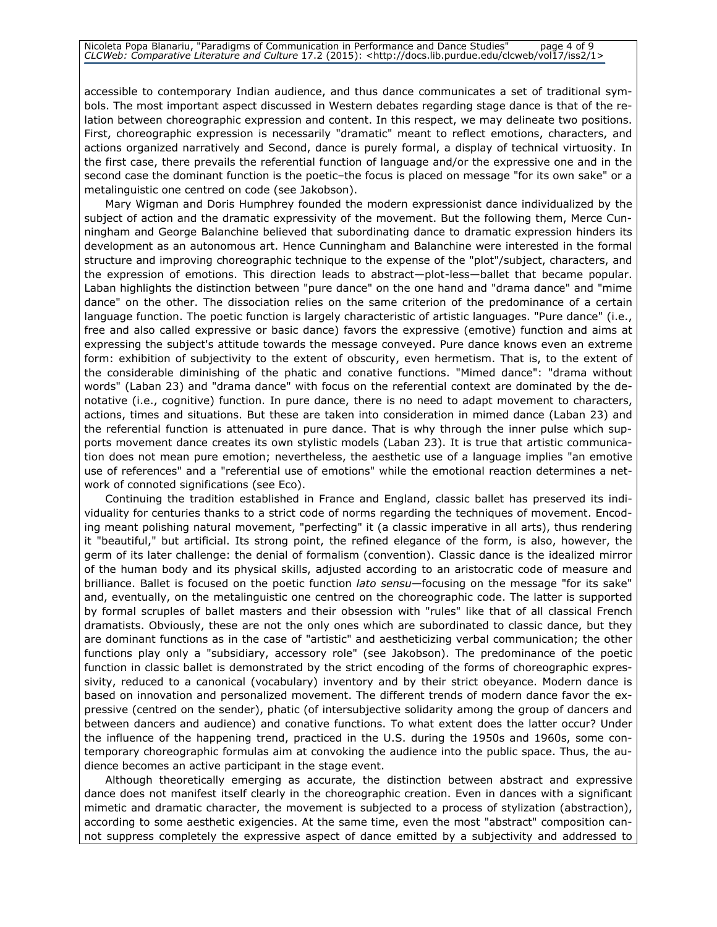accessible to contemporary Indian audience, and thus dance communicates a set of traditional symbols. The most important aspect discussed in Western debates regarding stage dance is that of the relation between choreographic expression and content. In this respect, we may delineate two positions. First, choreographic expression is necessarily "dramatic" meant to reflect emotions, characters, and actions organized narratively and Second, dance is purely formal, a display of technical virtuosity. In the first case, there prevails the referential function of language and/or the expressive one and in the second case the dominant function is the poetic–the focus is placed on message "for its own sake" or a metalinguistic one centred on code (see Jakobson).

Mary Wigman and Doris Humphrey founded the modern expressionist dance individualized by the subject of action and the dramatic expressivity of the movement. But the following them, Merce Cunningham and George Balanchine believed that subordinating dance to dramatic expression hinders its development as an autonomous art. Hence Cunningham and Balanchine were interested in the formal structure and improving choreographic technique to the expense of the "plot"/subject, characters, and the expression of emotions. This direction leads to abstract—plot-less—ballet that became popular. Laban highlights the distinction between "pure dance" on the one hand and "drama dance" and "mime dance" on the other. The dissociation relies on the same criterion of the predominance of a certain language function. The poetic function is largely characteristic of artistic languages. "Pure dance" (i.e., free and also called expressive or basic dance) favors the expressive (emotive) function and aims at expressing the subject's attitude towards the message conveyed. Pure dance knows even an extreme form: exhibition of subjectivity to the extent of obscurity, even hermetism. That is, to the extent of the considerable diminishing of the phatic and conative functions. "Mimed dance": "drama without words" (Laban 23) and "drama dance" with focus on the referential context are dominated by the denotative (i.e., cognitive) function. In pure dance, there is no need to adapt movement to characters, actions, times and situations. But these are taken into consideration in mimed dance (Laban 23) and the referential function is attenuated in pure dance. That is why through the inner pulse which supports movement dance creates its own stylistic models (Laban 23). It is true that artistic communication does not mean pure emotion; nevertheless, the aesthetic use of a language implies "an emotive use of references" and a "referential use of emotions" while the emotional reaction determines a network of connoted significations (see Eco).

Continuing the tradition established in France and England, classic ballet has preserved its individuality for centuries thanks to a strict code of norms regarding the techniques of movement. Encoding meant polishing natural movement, "perfecting" it (a classic imperative in all arts), thus rendering it "beautiful," but artificial. Its strong point, the refined elegance of the form, is also, however, the germ of its later challenge: the denial of formalism (convention). Classic dance is the idealized mirror of the human body and its physical skills, adjusted according to an aristocratic code of measure and brilliance. Ballet is focused on the poetic function *lato sensu*—focusing on the message "for its sake" and, eventually, on the metalinguistic one centred on the choreographic code. The latter is supported by formal scruples of ballet masters and their obsession with "rules" like that of all classical French dramatists. Obviously, these are not the only ones which are subordinated to classic dance, but they are dominant functions as in the case of "artistic" and aestheticizing verbal communication; the other functions play only a "subsidiary, accessory role" (see Jakobson). The predominance of the poetic function in classic ballet is demonstrated by the strict encoding of the forms of choreographic expressivity, reduced to a canonical (vocabulary) inventory and by their strict obeyance. Modern dance is based on innovation and personalized movement. The different trends of modern dance favor the expressive (centred on the sender), phatic (of intersubjective solidarity among the group of dancers and between dancers and audience) and conative functions. To what extent does the latter occur? Under the influence of the happening trend, practiced in the U.S. during the 1950s and 1960s, some contemporary choreographic formulas aim at convoking the audience into the public space. Thus, the audience becomes an active participant in the stage event.

Although theoretically emerging as accurate, the distinction between abstract and expressive dance does not manifest itself clearly in the choreographic creation. Even in dances with a significant mimetic and dramatic character, the movement is subjected to a process of stylization (abstraction), according to some aesthetic exigencies. At the same time, even the most "abstract" composition cannot suppress completely the expressive aspect of dance emitted by a subjectivity and addressed to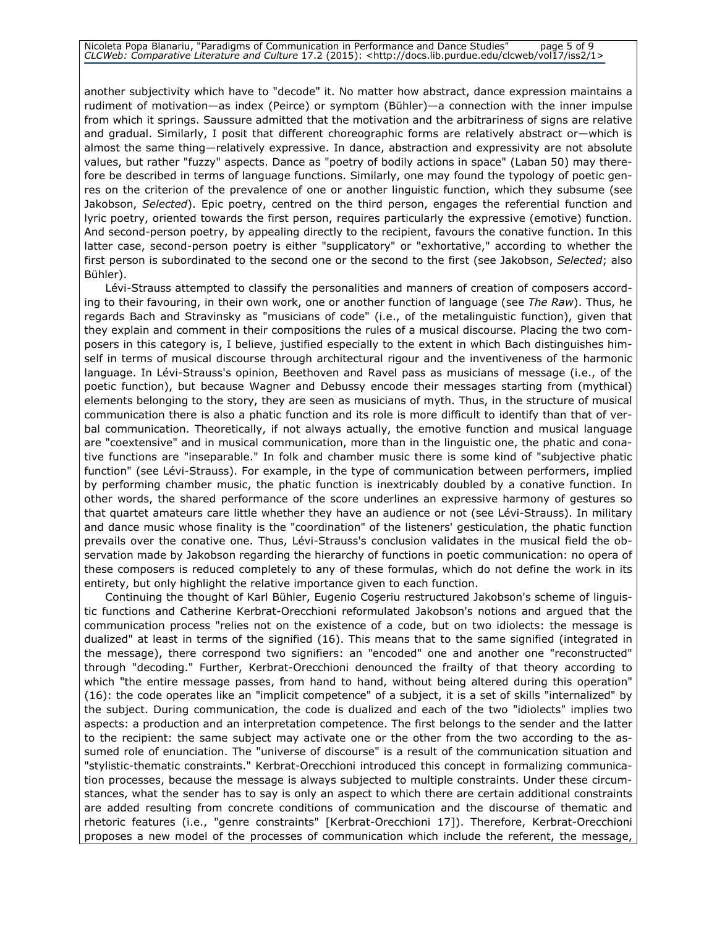another subjectivity which have to "decode" it. No matter how abstract, dance expression maintains a rudiment of motivation—as index (Peirce) or symptom (Bühler)—a connection with the inner impulse from which it springs. Saussure admitted that the motivation and the arbitrariness of signs are relative and gradual. Similarly, I posit that different choreographic forms are relatively abstract or—which is almost the same thing—relatively expressive. In dance, abstraction and expressivity are not absolute values, but rather "fuzzy" aspects. Dance as "poetry of bodily actions in space" (Laban 50) may therefore be described in terms of language functions. Similarly, one may found the typology of poetic genres on the criterion of the prevalence of one or another linguistic function, which they subsume (see Jakobson, Selected). Epic poetry, centred on the third person, engages the referential function and lyric poetry, oriented towards the first person, requires particularly the expressive (emotive) function. And second-person poetry, by appealing directly to the recipient, favours the conative function. In this latter case, second-person poetry is either "supplicatory" or "exhortative," according to whether the first person is subordinated to the second one or the second to the first (see Jakobson, Selected; also Bühler).

Lévi-Strauss attempted to classify the personalities and manners of creation of composers according to their favouring, in their own work, one or another function of language (see The Raw). Thus, he regards Bach and Stravinsky as "musicians of code" (i.e., of the metalinguistic function), given that they explain and comment in their compositions the rules of a musical discourse. Placing the two composers in this category is, I believe, justified especially to the extent in which Bach distinguishes himself in terms of musical discourse through architectural rigour and the inventiveness of the harmonic language. In Lévi-Strauss's opinion, Beethoven and Ravel pass as musicians of message (i.e., of the poetic function), but because Wagner and Debussy encode their messages starting from (mythical) elements belonging to the story, they are seen as musicians of myth. Thus, in the structure of musical communication there is also a phatic function and its role is more difficult to identify than that of verbal communication. Theoretically, if not always actually, the emotive function and musical language are "coextensive" and in musical communication, more than in the linguistic one, the phatic and conative functions are "inseparable." In folk and chamber music there is some kind of "subjective phatic function" (see Lévi-Strauss). For example, in the type of communication between performers, implied by performing chamber music, the phatic function is inextricably doubled by a conative function. In other words, the shared performance of the score underlines an expressive harmony of gestures so that quartet amateurs care little whether they have an audience or not (see Lévi-Strauss). In military and dance music whose finality is the "coordination" of the listeners' gesticulation, the phatic function prevails over the conative one. Thus, Lévi-Strauss's conclusion validates in the musical field the observation made by Jakobson regarding the hierarchy of functions in poetic communication: no opera of these composers is reduced completely to any of these formulas, which do not define the work in its entirety, but only highlight the relative importance given to each function.

Continuing the thought of Karl Bühler, Eugenio Coşeriu restructured Jakobson's scheme of linguistic functions and Catherine Kerbrat-Orecchioni reformulated Jakobson's notions and argued that the communication process "relies not on the existence of a code, but on two idiolects: the message is dualized" at least in terms of the signified (16). This means that to the same signified (integrated in the message), there correspond two signifiers: an "encoded" one and another one "reconstructed" through "decoding." Further, Kerbrat-Orecchioni denounced the frailty of that theory according to which "the entire message passes, from hand to hand, without being altered during this operation" (16): the code operates like an "implicit competence" of a subject, it is a set of skills "internalized" by the subject. During communication, the code is dualized and each of the two "idiolects" implies two aspects: a production and an interpretation competence. The first belongs to the sender and the latter to the recipient: the same subject may activate one or the other from the two according to the assumed role of enunciation. The "universe of discourse" is a result of the communication situation and "stylistic-thematic constraints." Kerbrat-Orecchioni introduced this concept in formalizing communication processes, because the message is always subjected to multiple constraints. Under these circumstances, what the sender has to say is only an aspect to which there are certain additional constraints are added resulting from concrete conditions of communication and the discourse of thematic and rhetoric features (i.e., "genre constraints" [Kerbrat-Orecchioni 17]). Therefore, Kerbrat-Orecchioni proposes a new model of the processes of communication which include the referent, the message,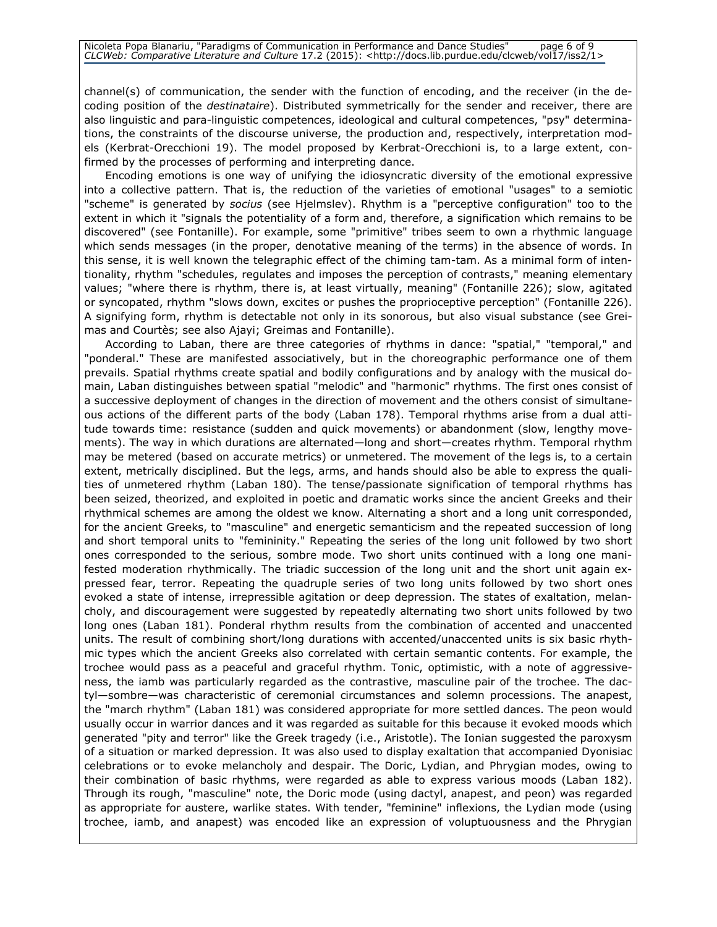channel(s) of communication, the sender with the function of encoding, and the receiver (in the decoding position of the *destinataire*). Distributed symmetrically for the sender and receiver, there are also linguistic and para-linguistic competences, ideological and cultural competences, "psy" determinations, the constraints of the discourse universe, the production and, respectively, interpretation models (Kerbrat-Orecchioni 19). The model proposed by Kerbrat-Orecchioni is, to a large extent, confirmed by the processes of performing and interpreting dance.

Encoding emotions is one way of unifying the idiosyncratic diversity of the emotional expressive into a collective pattern. That is, the reduction of the varieties of emotional "usages" to a semiotic "scheme" is generated by socius (see Hjelmslev). Rhythm is a "perceptive configuration" too to the extent in which it "signals the potentiality of a form and, therefore, a signification which remains to be discovered" (see Fontanille). For example, some "primitive" tribes seem to own a rhythmic language which sends messages (in the proper, denotative meaning of the terms) in the absence of words. In this sense, it is well known the telegraphic effect of the chiming tam-tam. As a minimal form of intentionality, rhythm "schedules, regulates and imposes the perception of contrasts," meaning elementary values; "where there is rhythm, there is, at least virtually, meaning" (Fontanille 226); slow, agitated or syncopated, rhythm "slows down, excites or pushes the proprioceptive perception" (Fontanille 226). A signifying form, rhythm is detectable not only in its sonorous, but also visual substance (see Greimas and Courtès; see also Ajayi; Greimas and Fontanille).

According to Laban, there are three categories of rhythms in dance: "spatial," "temporal," and "ponderal." These are manifested associatively, but in the choreographic performance one of them prevails. Spatial rhythms create spatial and bodily configurations and by analogy with the musical domain, Laban distinguishes between spatial "melodic" and "harmonic" rhythms. The first ones consist of a successive deployment of changes in the direction of movement and the others consist of simultaneous actions of the different parts of the body (Laban 178). Temporal rhythms arise from a dual attitude towards time: resistance (sudden and quick movements) or abandonment (slow, lengthy movements). The way in which durations are alternated—long and short—creates rhythm. Temporal rhythm may be metered (based on accurate metrics) or unmetered. The movement of the legs is, to a certain extent, metrically disciplined. But the legs, arms, and hands should also be able to express the qualities of unmetered rhythm (Laban 180). The tense/passionate signification of temporal rhythms has been seized, theorized, and exploited in poetic and dramatic works since the ancient Greeks and their rhythmical schemes are among the oldest we know. Alternating a short and a long unit corresponded, for the ancient Greeks, to "masculine" and energetic semanticism and the repeated succession of long and short temporal units to "femininity." Repeating the series of the long unit followed by two short ones corresponded to the serious, sombre mode. Two short units continued with a long one manifested moderation rhythmically. The triadic succession of the long unit and the short unit again expressed fear, terror. Repeating the quadruple series of two long units followed by two short ones evoked a state of intense, irrepressible agitation or deep depression. The states of exaltation, melancholy, and discouragement were suggested by repeatedly alternating two short units followed by two long ones (Laban 181). Ponderal rhythm results from the combination of accented and unaccented units. The result of combining short/long durations with accented/unaccented units is six basic rhythmic types which the ancient Greeks also correlated with certain semantic contents. For example, the trochee would pass as a peaceful and graceful rhythm. Tonic, optimistic, with a note of aggressiveness, the iamb was particularly regarded as the contrastive, masculine pair of the trochee. The dactyl—sombre—was characteristic of ceremonial circumstances and solemn processions. The anapest, the "march rhythm" (Laban 181) was considered appropriate for more settled dances. The peon would usually occur in warrior dances and it was regarded as suitable for this because it evoked moods which generated "pity and terror" like the Greek tragedy (i.e., Aristotle). The Ionian suggested the paroxysm of a situation or marked depression. It was also used to display exaltation that accompanied Dyonisiac celebrations or to evoke melancholy and despair. The Doric, Lydian, and Phrygian modes, owing to their combination of basic rhythms, were regarded as able to express various moods (Laban 182). Through its rough, "masculine" note, the Doric mode (using dactyl, anapest, and peon) was regarded as appropriate for austere, warlike states. With tender, "feminine" inflexions, the Lydian mode (using trochee, iamb, and anapest) was encoded like an expression of voluptuousness and the Phrygian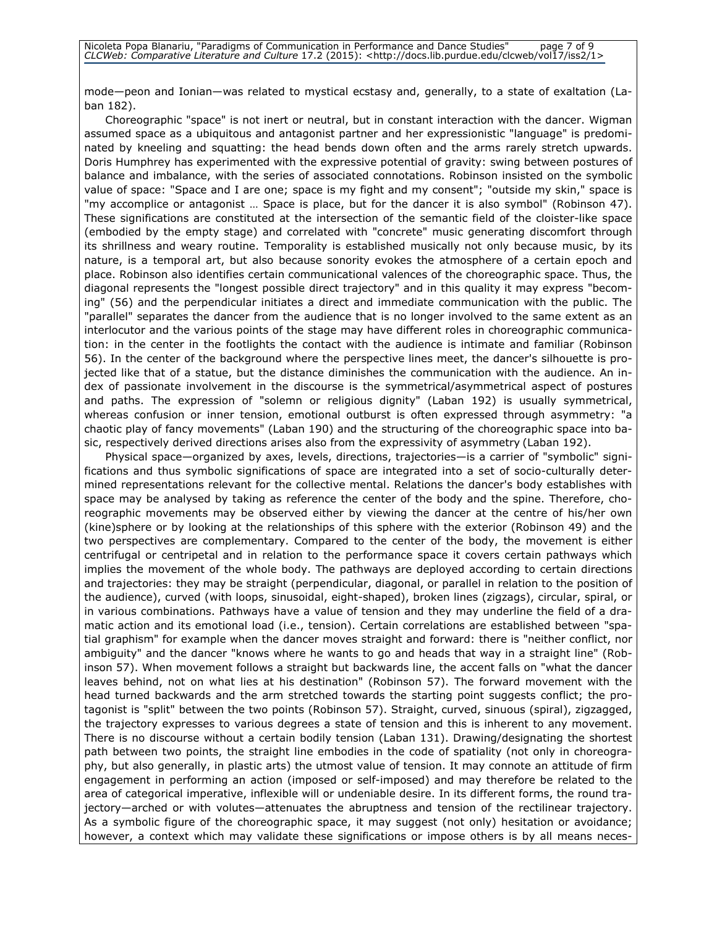mode—peon and Ionian—was related to mystical ecstasy and, generally, to a state of exaltation (Laban 182).

Choreographic "space" is not inert or neutral, but in constant interaction with the dancer. Wigman assumed space as a ubiquitous and antagonist partner and her expressionistic "language" is predominated by kneeling and squatting: the head bends down often and the arms rarely stretch upwards. Doris Humphrey has experimented with the expressive potential of gravity: swing between postures of balance and imbalance, with the series of associated connotations. Robinson insisted on the symbolic value of space: "Space and I are one; space is my fight and my consent"; "outside my skin," space is "my accomplice or antagonist … Space is place, but for the dancer it is also symbol" (Robinson 47). These significations are constituted at the intersection of the semantic field of the cloister-like space (embodied by the empty stage) and correlated with "concrete" music generating discomfort through its shrillness and weary routine. Temporality is established musically not only because music, by its nature, is a temporal art, but also because sonority evokes the atmosphere of a certain epoch and place. Robinson also identifies certain communicational valences of the choreographic space. Thus, the diagonal represents the "longest possible direct trajectory" and in this quality it may express "becoming" (56) and the perpendicular initiates a direct and immediate communication with the public. The "parallel" separates the dancer from the audience that is no longer involved to the same extent as an interlocutor and the various points of the stage may have different roles in choreographic communication: in the center in the footlights the contact with the audience is intimate and familiar (Robinson 56). In the center of the background where the perspective lines meet, the dancer's silhouette is projected like that of a statue, but the distance diminishes the communication with the audience. An index of passionate involvement in the discourse is the symmetrical/asymmetrical aspect of postures and paths. The expression of "solemn or religious dignity" (Laban 192) is usually symmetrical, whereas confusion or inner tension, emotional outburst is often expressed through asymmetry: "a chaotic play of fancy movements" (Laban 190) and the structuring of the choreographic space into basic, respectively derived directions arises also from the expressivity of asymmetry (Laban 192).

Physical space—organized by axes, levels, directions, trajectories—is a carrier of "symbolic" significations and thus symbolic significations of space are integrated into a set of socio-culturally determined representations relevant for the collective mental. Relations the dancer's body establishes with space may be analysed by taking as reference the center of the body and the spine. Therefore, choreographic movements may be observed either by viewing the dancer at the centre of his/her own (kine)sphere or by looking at the relationships of this sphere with the exterior (Robinson 49) and the two perspectives are complementary. Compared to the center of the body, the movement is either centrifugal or centripetal and in relation to the performance space it covers certain pathways which implies the movement of the whole body. The pathways are deployed according to certain directions and trajectories: they may be straight (perpendicular, diagonal, or parallel in relation to the position of the audience), curved (with loops, sinusoidal, eight-shaped), broken lines (zigzags), circular, spiral, or in various combinations. Pathways have a value of tension and they may underline the field of a dramatic action and its emotional load (i.e., tension). Certain correlations are established between "spatial graphism" for example when the dancer moves straight and forward: there is "neither conflict, nor ambiguity" and the dancer "knows where he wants to go and heads that way in a straight line" (Robinson 57). When movement follows a straight but backwards line, the accent falls on "what the dancer leaves behind, not on what lies at his destination" (Robinson 57). The forward movement with the head turned backwards and the arm stretched towards the starting point suggests conflict; the protagonist is "split" between the two points (Robinson 57). Straight, curved, sinuous (spiral), zigzagged, the trajectory expresses to various degrees a state of tension and this is inherent to any movement. There is no discourse without a certain bodily tension (Laban 131). Drawing/designating the shortest path between two points, the straight line embodies in the code of spatiality (not only in choreography, but also generally, in plastic arts) the utmost value of tension. It may connote an attitude of firm engagement in performing an action (imposed or self-imposed) and may therefore be related to the area of categorical imperative, inflexible will or undeniable desire. In its different forms, the round trajectory—arched or with volutes—attenuates the abruptness and tension of the rectilinear trajectory. As a symbolic figure of the choreographic space, it may suggest (not only) hesitation or avoidance; however, a context which may validate these significations or impose others is by all means neces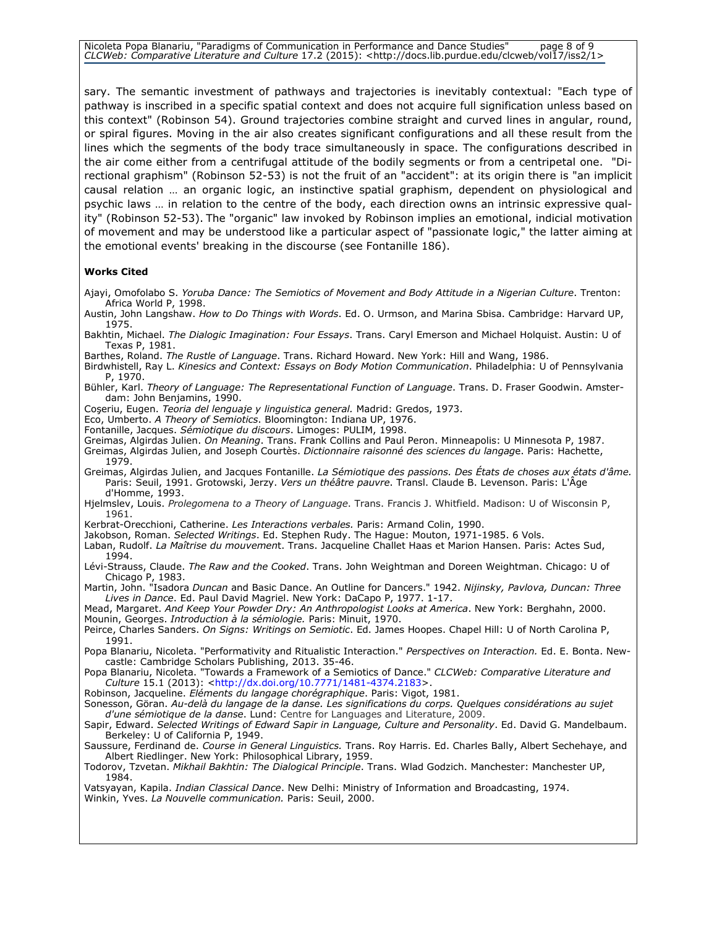Nicoleta Popa Blanariu, "Paradigms of Communication in Performance and Dance Studies" page 8 of 9 CLCWeb: Comparative Literature and Culture 17.2 (2015): <http://docs.lib.purdue.edu/clcweb/vol17/iss2/1>

sary. The semantic investment of pathways and trajectories is inevitably contextual: "Each type of pathway is inscribed in a specific spatial context and does not acquire full signification unless based on this context" (Robinson 54). Ground trajectories combine straight and curved lines in angular, round, or spiral figures. Moving in the air also creates significant configurations and all these result from the lines which the segments of the body trace simultaneously in space. The configurations described in the air come either from a centrifugal attitude of the bodily segments or from a centripetal one. "Directional graphism" (Robinson 52-53) is not the fruit of an "accident": at its origin there is "an implicit causal relation … an organic logic, an instinctive spatial graphism, dependent on physiological and psychic laws … in relation to the centre of the body, each direction owns an intrinsic expressive quality" (Robinson 52-53). The "organic" law invoked by Robinson implies an emotional, indicial motivation of movement and may be understood like a particular aspect of "passionate logic," the latter aiming at the emotional events' breaking in the discourse (see Fontanille 186).

### Works Cited

- Ajayi, Omofolabo S. Yoruba Dance: The Semiotics of Movement and Body Attitude in a Nigerian Culture. Trenton: Africa World P, 1998.
- Austin, John Langshaw. How to Do Things with Words. Ed. O. Urmson, and Marina Sbisa. Cambridge: Harvard UP, 1975.
- Bakhtin, Michael. The Dialogic Imagination: Four Essays. Trans. Caryl Emerson and Michael Holquist. Austin: U of Texas P, 1981.
- Barthes, Roland. The Rustle of Language. Trans. Richard Howard. New York: Hill and Wang, 1986.
- Birdwhistell, Ray L. Kinesics and Context: Essays on Body Motion Communication. Philadelphia: U of Pennsylvania P, 1970.
- Bühler, Karl. Theory of Language: The Representational Function of Language. Trans. D. Fraser Goodwin. Amsterdam: John Benjamins, 1990.
- Coşeriu, Eugen. Teoria del lenguaje y linguistica general. Madrid: Gredos, 1973.
- Eco, Umberto. A Theory of Semiotics. Bloomington: Indiana UP, 1976.
- Fontanille, Jacques. Sémiotique du discours. Limoges: PULIM, 1998.
- Greimas, Algirdas Julien. On Meaning. Trans. Frank Collins and Paul Peron. Minneapolis: U Minnesota P, 1987.

Greimas, Algirdas Julien, and Joseph Courtès. Dictionnaire raisonné des sciences du langage. Paris: Hachette, 1979.

- Greimas, Algirdas Julien, and Jacques Fontanille. La Sémiotique des passions. Des États de choses aux états d'âme. Paris: Seuil, 1991. Grotowski, Jerzy. Vers un théâtre pauvre. Transl. Claude B. Levenson. Paris: L'Âge d'Homme, 1993.
- Hjelmslev, Louis. Prolegomena to a Theory of Language. Trans. Francis J. Whitfield. Madison: U of Wisconsin P, 1961.
- Kerbrat-Orecchioni, Catherine. Les Interactions verbales. Paris: Armand Colin, 1990.
- Jakobson, Roman. Selected Writings. Ed. Stephen Rudy. The Hague: Mouton, 1971-1985. 6 Vols.
- Laban, Rudolf. La Maîtrise du mouvement. Trans. Jacqueline Challet Haas et Marion Hansen. Paris: Actes Sud, 1994.
- Lévi-Strauss, Claude. The Raw and the Cooked. Trans. John Weightman and Doreen Weightman. Chicago: U of Chicago P, 1983.

Martin, John. "Isadora Duncan and Basic Dance. An Outline for Dancers." 1942. Nijinsky, Pavlova, Duncan: Three Lives in Dance. Ed. Paul David Magriel. New York: DaCapo P, 1977. 1-17.

- Mead, Margaret. And Keep Your Powder Dry: An Anthropologist Looks at America. New York: Berghahn, 2000. Mounin, Georges. Introduction à la sémiologie. Paris: Minuit, 1970.
- Peirce, Charles Sanders. On Signs: Writings on Semiotic. Ed. James Hoopes. Chapel Hill: U of North Carolina P, 1991.
- Popa Blanariu, Nicoleta. "Performativity and Ritualistic Interaction." Perspectives on Interaction. Ed. E. Bonta. Newcastle: Cambridge Scholars Publishing, 2013. 35-46.
- Popa Blanariu, Nicoleta. "Towards a Framework of a Semiotics of Dance." CLCWeb: Comparative Literature and Culture 15.1 (2013): <http://dx.doi.org/10.7771/1481-4374.2183>.
- Robinson, Jacqueline. Eléments du langage chorégraphique. Paris: Vigot, 1981.
- Sonesson, Göran. Au-delà du langage de la danse. Les significations du corps. Quelques considérations au sujet d'une sémiotique de la danse. Lund: Centre for Languages and Literature, 2009.
- Sapir, Edward. Selected Writings of Edward Sapir in Language, Culture and Personality. Ed. David G. Mandelbaum. Berkeley: U of California P, 1949.
- Saussure, Ferdinand de. Course in General Linguistics. Trans. Roy Harris. Ed. Charles Bally, Albert Sechehaye, and Albert Riedlinger. New York: Philosophical Library, 1959.

Todorov, Tzvetan. Mikhail Bakhtin: The Dialogical Principle. Trans. Wlad Godzich. Manchester: Manchester UP, 1984.

Vatsyayan, Kapila. *Indian Classical Dance*. New Delhi: Ministry of Information and Broadcasting, 1974. Winkin, Yves. La Nouvelle communication. Paris: Seuil, 2000.